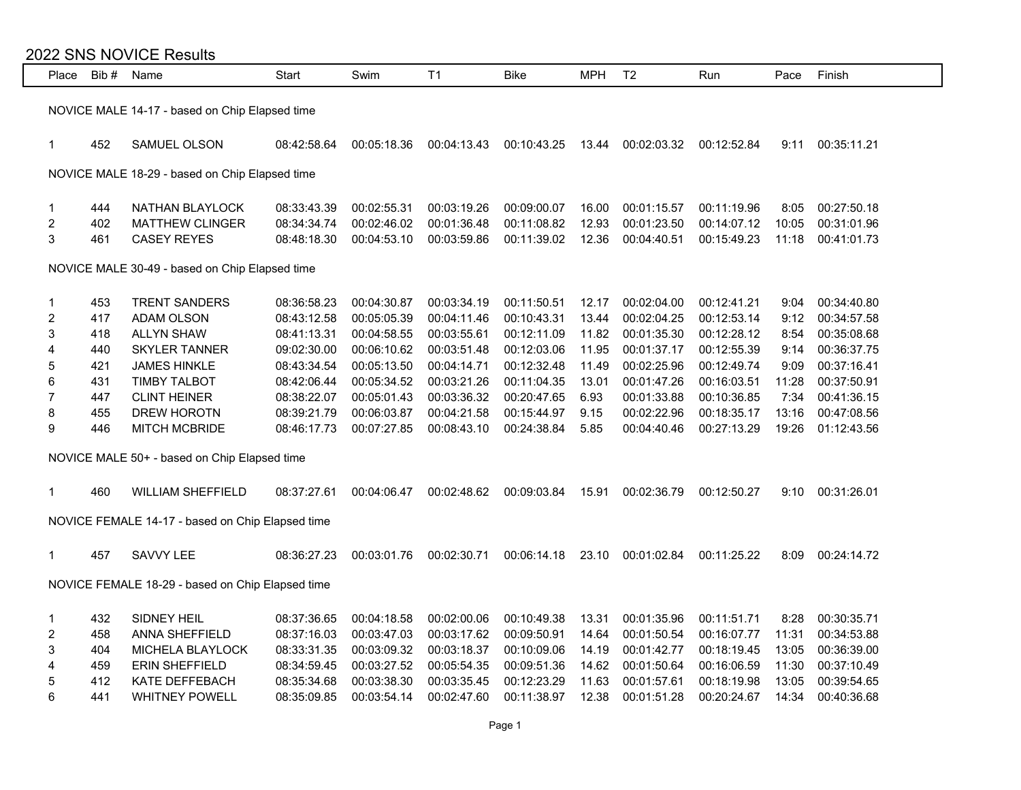| 2022 SNS NOVICE Results                          |                                                |                                                  |             |             |             |             |            |                |             |       |             |
|--------------------------------------------------|------------------------------------------------|--------------------------------------------------|-------------|-------------|-------------|-------------|------------|----------------|-------------|-------|-------------|
|                                                  | Place Bib#                                     | Name                                             | Start       | Swim        | T1          | <b>Bike</b> | <b>MPH</b> | T <sub>2</sub> | Run         | Pace  | Finish      |
|                                                  |                                                |                                                  |             |             |             |             |            |                |             |       |             |
| NOVICE MALE 14-17 - based on Chip Elapsed time   |                                                |                                                  |             |             |             |             |            |                |             |       |             |
|                                                  |                                                |                                                  |             |             |             |             |            |                |             |       |             |
| $\mathbf{1}$                                     | 452                                            | SAMUEL OLSON                                     | 08:42:58.64 | 00:05:18.36 | 00:04:13.43 | 00:10:43.25 | 13.44      | 00:02:03.32    | 00:12:52.84 | 9:11  | 00:35:11.21 |
|                                                  | NOVICE MALE 18-29 - based on Chip Elapsed time |                                                  |             |             |             |             |            |                |             |       |             |
|                                                  |                                                |                                                  |             |             |             |             |            |                |             |       |             |
| $\mathbf 1$                                      | 444                                            | NATHAN BLAYLOCK                                  | 08:33:43.39 | 00:02:55.31 | 00:03:19.26 | 00:09:00.07 | 16.00      | 00:01:15.57    | 00:11:19.96 | 8:05  | 00:27:50.18 |
| $\overline{\mathbf{c}}$                          | 402                                            | MATTHEW CLINGER                                  | 08:34:34.74 | 00:02:46.02 | 00:01:36.48 | 00:11:08.82 | 12.93      | 00:01:23.50    | 00:14:07.12 | 10:05 | 00:31:01.96 |
| $\mathbf{3}$                                     | 461                                            | <b>CASEY REYES</b>                               | 08:48:18.30 | 00:04:53.10 | 00:03:59.86 | 00:11:39.02 | 12.36      | 00:04:40.51    | 00:15:49.23 | 11:18 | 00:41:01.73 |
|                                                  |                                                |                                                  |             |             |             |             |            |                |             |       |             |
| NOVICE MALE 30-49 - based on Chip Elapsed time   |                                                |                                                  |             |             |             |             |            |                |             |       |             |
| 1                                                | 453                                            | TRENT SANDERS                                    | 08:36:58.23 | 00:04:30.87 | 00:03:34.19 | 00:11:50.51 | 12.17      | 00:02:04.00    | 00:12:41.21 | 9:04  | 00:34:40.80 |
| $\overline{\mathbf{c}}$                          | 417                                            | ADAM OLSON                                       | 08:43:12.58 | 00:05:05.39 | 00:04:11.46 | 00:10:43.31 | 13.44      | 00:02:04.25    | 00:12:53.14 | 9:12  | 00:34:57.58 |
| $\sqrt{3}$                                       | 418                                            | <b>ALLYN SHAW</b>                                | 08:41:13.31 | 00:04:58.55 | 00:03:55.61 | 00:12:11.09 | 11.82      | 00:01:35.30    | 00:12:28.12 | 8:54  | 00:35:08.68 |
| 4                                                | 440                                            | <b>SKYLER TANNER</b>                             | 09:02:30.00 | 00:06:10.62 | 00:03:51.48 | 00:12:03.06 | 11.95      | 00:01:37.17    | 00:12:55.39 | 9:14  | 00:36:37.75 |
| 5                                                | 421                                            | <b>JAMES HINKLE</b>                              | 08:43:34.54 | 00:05:13.50 | 00:04:14.71 | 00:12:32.48 | 11.49      | 00:02:25.96    | 00:12:49.74 | 9:09  | 00:37:16.41 |
| $6\phantom{a}$                                   | 431                                            | <b>TIMBY TALBOT</b>                              | 08:42:06.44 | 00:05:34.52 | 00:03:21.26 | 00:11:04.35 | 13.01      | 00:01:47.26    | 00:16:03.51 | 11:28 | 00:37:50.91 |
| $\overline{7}$                                   | 447                                            | <b>CLINT HEINER</b>                              | 08:38:22.07 | 00:05:01.43 | 00:03:36.32 | 00:20:47.65 | 6.93       | 00:01:33.88    | 00:10:36.85 | 7:34  | 00:41:36.15 |
| 8                                                | 455                                            | DREW HOROTN                                      | 08:39:21.79 | 00:06:03.87 | 00:04:21.58 | 00:15:44.97 | 9.15       | 00:02:22.96    | 00:18:35.17 | 13:16 | 00:47:08.56 |
| 9                                                | 446                                            | <b>MITCH MCBRIDE</b>                             | 08:46:17.73 | 00:07:27.85 | 00:08:43.10 | 00:24:38.84 | 5.85       | 00:04:40.46    | 00:27:13.29 | 19:26 | 01:12:43.56 |
|                                                  |                                                |                                                  |             |             |             |             |            |                |             |       |             |
|                                                  |                                                | NOVICE MALE 50+ - based on Chip Elapsed time     |             |             |             |             |            |                |             |       |             |
|                                                  |                                                |                                                  |             |             |             |             |            |                |             |       |             |
| $\mathbf{1}$                                     | 460                                            | <b>WILLIAM SHEFFIELD</b>                         | 08:37:27.61 | 00:04:06.47 | 00:02:48.62 | 00:09:03.84 | 15.91      | 00:02:36.79    | 00:12:50.27 | 9:10  | 00:31:26.01 |
|                                                  |                                                | NOVICE FEMALE 14-17 - based on Chip Elapsed time |             |             |             |             |            |                |             |       |             |
|                                                  |                                                |                                                  |             |             |             |             |            |                |             |       |             |
| 1                                                | 457                                            | SAVVY LEE                                        | 08:36:27.23 | 00:03:01.76 | 00:02:30.71 | 00:06:14.18 | 23.10      | 00:01:02.84    | 00:11:25.22 | 8:09  | 00:24:14.72 |
|                                                  |                                                |                                                  |             |             |             |             |            |                |             |       |             |
| NOVICE FEMALE 18-29 - based on Chip Elapsed time |                                                |                                                  |             |             |             |             |            |                |             |       |             |
|                                                  |                                                |                                                  |             |             |             |             |            |                |             |       |             |
| 1                                                | 432                                            | SIDNEY HEIL                                      | 08:37:36.65 | 00:04:18.58 | 00:02:00.06 | 00:10:49.38 | 13.31      | 00:01:35.96    | 00:11:51.71 | 8:28  | 00:30:35.71 |
| $\overline{\mathbf{c}}$                          | 458                                            | ANNA SHEFFIELD                                   | 08:37:16.03 | 00:03:47.03 | 00:03:17.62 | 00:09:50.91 | 14.64      | 00:01:50.54    | 00:16:07.77 | 11:31 | 00:34:53.88 |
| 3                                                | 404                                            | MICHELA BLAYLOCK                                 | 08:33:31.35 | 00:03:09.32 | 00:03:18.37 | 00:10:09.06 | 14.19      | 00:01:42.77    | 00:18:19.45 | 13:05 | 00:36:39.00 |
| 4                                                | 459                                            | <b>ERIN SHEFFIELD</b>                            | 08:34:59.45 | 00:03:27.52 | 00:05:54.35 | 00:09:51.36 | 14.62      | 00:01:50.64    | 00:16:06.59 | 11:30 | 00:37:10.49 |
| 5                                                | 412                                            | KATE DEFFEBACH                                   | 08:35:34.68 | 00:03:38.30 | 00:03:35.45 | 00:12:23.29 | 11.63      | 00:01:57.61    | 00:18:19.98 | 13:05 | 00:39:54.65 |
| 6                                                | 441                                            | <b>WHITNEY POWELL</b>                            | 08:35:09.85 | 00:03:54.14 | 00:02:47.60 | 00:11:38.97 | 12.38      | 00:01:51.28    | 00:20:24.67 | 14:34 | 00:40:36.68 |
|                                                  |                                                |                                                  |             |             |             |             |            |                |             |       |             |